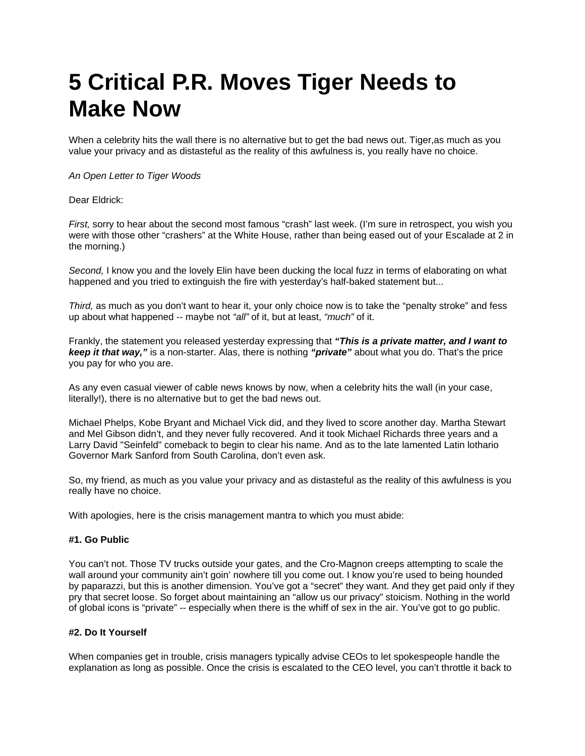# **5 Critical P.R. Moves Tiger Needs to Make Now**

When a celebrity hits the wall there is no alternative but to get the bad news out. Tiger,as much as you value your privacy and as distasteful as the reality of this awfulness is, you really have no choice.

# *An Open Letter to Tiger Woods*

# Dear Eldrick:

*First,* sorry to hear about the second most famous "crash" last week. (I'm sure in retrospect, you wish you were with those other "crashers" at the White House, rather than being eased out of your Escalade at 2 in the morning.)

*Second,* I know you and the lovely Elin have been ducking the local fuzz in terms of elaborating on what happened and you tried to extinguish the fire with yesterday's half-baked statement but...

*Third,* as much as you don't want to hear it, your only choice now is to take the "penalty stroke" and fess up about what happened -- maybe not *"all"* of it, but at least, *"much"* of it.

Frankly, the statement you released yesterday expressing that *"This is a private matter, and I want to keep it that way,"* is a non-starter. Alas, there is nothing *"private"* about what you do. That's the price you pay for who you are.

As any even casual viewer of cable news knows by now, when a celebrity hits the wall (in your case, literally!), there is no alternative but to get the bad news out.

Michael Phelps, Kobe Bryant and Michael Vick did, and they lived to score another day. Martha Stewart and Mel Gibson didn't, and they never fully recovered. And it took Michael Richards three years and a Larry David "Seinfeld" comeback to begin to clear his name. And as to the late lamented Latin lothario Governor Mark Sanford from South Carolina, don't even ask.

So, my friend, as much as you value your privacy and as distasteful as the reality of this awfulness is you really have no choice.

With apologies, here is the crisis management mantra to which you must abide:

## **#1. Go Public**

You can't not. Those TV trucks outside your gates, and the Cro-Magnon creeps attempting to scale the wall around your community ain't goin' nowhere till you come out. I know you're used to being hounded by paparazzi, but this is another dimension. You've got a "secret" they want. And they get paid only if they pry that secret loose. So forget about maintaining an "allow us our privacy" stoicism. Nothing in the world of global icons is "private" -- especially when there is the whiff of sex in the air. You've got to go public.

## **#2. Do It Yourself**

When companies get in trouble, crisis managers typically advise CEOs to let spokespeople handle the explanation as long as possible. Once the crisis is escalated to the CEO level, you can't throttle it back to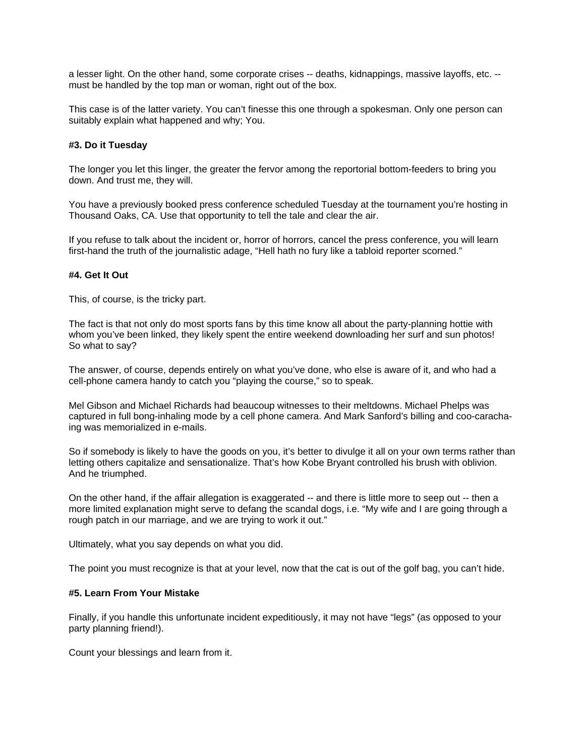a lesser light. On the other hand, some corporate crises -- deaths, kidnappings, massive layoffs, etc. - must be handled by the top man or woman, right out of the box.

This case is of the latter variety. You can't finesse this one through a spokesman. Only one person can suitably explain what happened and why; You.

# **#3. Do it Tuesday**

The longer you let this linger, the greater the fervor among the reportorial bottom-feeders to bring you down. And trust me, they will.

You have a previously booked press conference scheduled Tuesday at the tournament you're hosting in Thousand Oaks, CA. Use that opportunity to tell the tale and clear the air.

If you refuse to talk about the incident or, horror of horrors, cancel the press conference, you will learn first-hand the truth of the journalistic adage, "Hell hath no fury like a tabloid reporter scorned."

## **#4. Get It Out**

This, of course, is the tricky part.

The fact is that not only do most sports fans by this time know all about the party-planning hottie with whom you've been linked, they likely spent the entire weekend downloading her surf and sun photos! So what to say?

The answer, of course, depends entirely on what you've done, who else is aware of it, and who had a cell-phone camera handy to catch you "playing the course," so to speak.

Mel Gibson and Michael Richards had beaucoup witnesses to their meltdowns. Michael Phelps was captured in full bong-inhaling mode by a cell phone camera. And Mark Sanford's billing and coo-carachaing was memorialized in e-mails.

So if somebody is likely to have the goods on you, it's better to divulge it all on your own terms rather than letting others capitalize and sensationalize. That's how Kobe Bryant controlled his brush with oblivion. And he triumphed.

On the other hand, if the affair allegation is exaggerated -- and there is little more to seep out -- then a more limited explanation might serve to defang the scandal dogs, i.e. "My wife and I are going through a rough patch in our marriage, and we are trying to work it out."

Ultimately, what you say depends on what you did.

The point you must recognize is that at your level, now that the cat is out of the golf bag, you can't hide.

## **#5. Learn From Your Mistake**

Finally, if you handle this unfortunate incident expeditiously, it may not have "legs" (as opposed to your party planning friend!).

Count your blessings and learn from it.